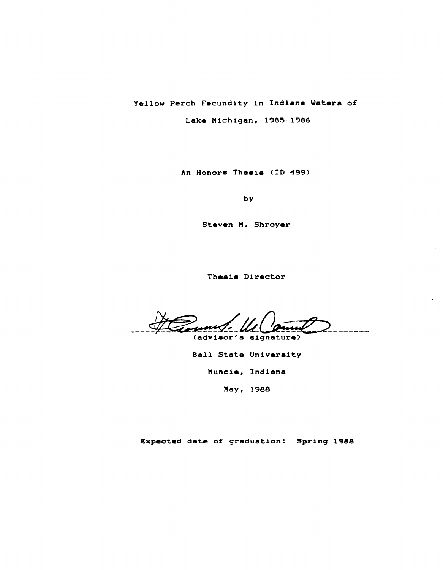Yellow Perch Fecundity in Indiana Waters of

Lake Michigan, 1985-1986

An Honora Theais (ID 499)

by

Steven M. Shroyer

Thesis Director

um/. (advisor's signature)

8all State Univeraity

Muncie, Indiana

May, 1988

Expected date o£ graduation: Spring 1988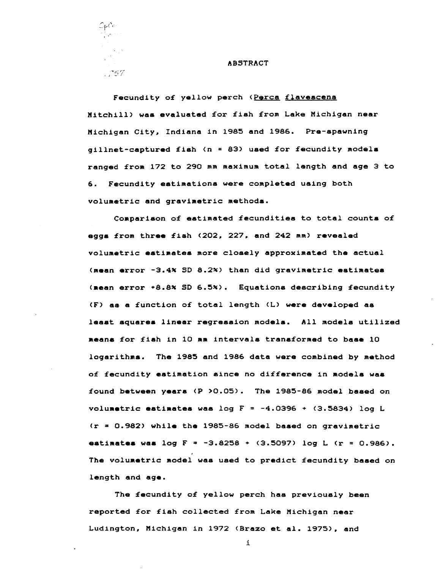

#### ABSTRACT

Fecundity of yellow perch (Perca flavescens Mitchill) waa evaluated £or £ish £rom Lake Michigan near Michigan City, Indiana in 1985 and 1986. Pre-spawning  $g$ illnet-captured fish (n = 83) used for fecundity models ranged £rom 172 to 290 mm maximum total length and age 3 to 6. Fecundity estimations were completed using both volumetric and gravimetric methods.

Comparison o£ eatimated £ecundities to total counta o£ egga £rom three £iah (202, 227, and 242 mm) revealed volumetric eatimates more closely approximated the actual (mean error -3.4~ SD 8.2~) than did gravimetric estimates (nean error +8.8% SD 6.5%). Equations describing fecundity (F) as a £unction o£ total length (L) were developed as leaat squares linear regression models. All models utilized .eans £or £iah in 10 mm intervals trans£ormed to base 10 logarithms. The 1985 and 1986 data were combined by method of fecundity estimation since no difference in models was £ound between yeara (P >0.05). The 1985-86 model based on volumetric estimates was log  $F = -4.0396 + (3.5834)$  log L (r = 0.982) while the 1985-86 model based on gravimetric estimates was log  $F = -3.8258 + (3.5097)$  log L (r = 0.986). The volumetric model was used to predict fecundity based on length and age.

The £ecundity o£ yellow perch has previously been reported £or £ish collected £rom Lake Michigan near Ludington, Michigan in 1972 (Brazo et al. 1975), and

i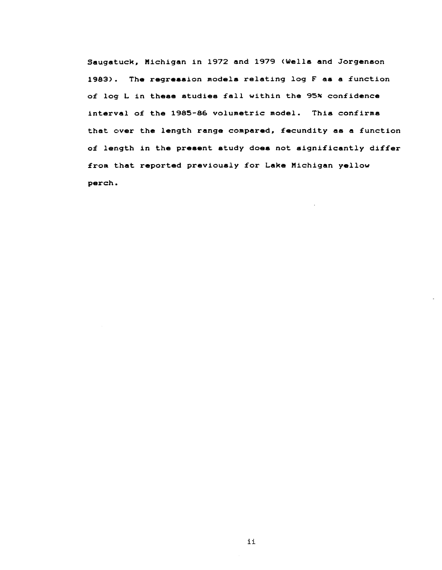Saugatuck, Michigan in 1972 and 1979 (Wells and Jorgenson 1983). The regression models relating log F as a function of log L in these studies fall within the 95% confidence interval of the 1985-86 volumetric model. This confirms that over the length range compared, fecundity as a function of length in the present study does not significantly differ from that reported previously for Lake Michigan yellow perch.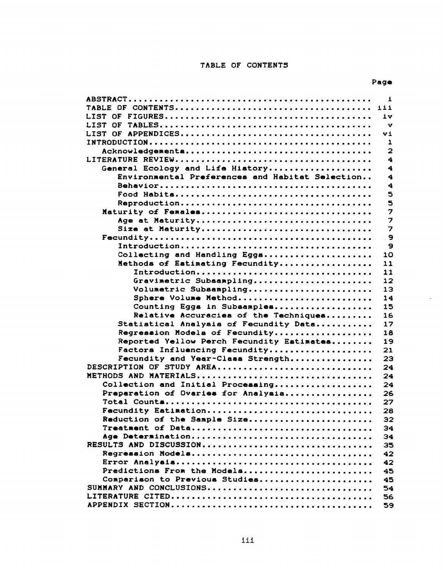# TABLE OF CONTENTS

L.

|                                                     | $\mathbf{1}$   |
|-----------------------------------------------------|----------------|
|                                                     | 111            |
| LIST OF                                             | iv.            |
| LIST OF                                             | v              |
|                                                     | Vi             |
|                                                     | 1              |
|                                                     | $\overline{2}$ |
|                                                     | 4              |
| General Ecology and Life History                    | 4              |
| Environmental Preferences and Habitat Selection     | 4              |
|                                                     | 4              |
|                                                     | 5              |
|                                                     | 5              |
| Maturity of Females                                 | 7              |
| Age at Maturity                                     | 7              |
| Size at Maturity                                    | 7              |
|                                                     | 9              |
|                                                     | 9              |
| Collecting and Handling Eggs                        | 10             |
| Nethods of Estimating Fecundity                     | 11             |
| Introduction                                        | 11             |
| Gravimetric Subsampling                             | 12             |
| Volumetric Subsampling                              | 13             |
| Sphere Volume Method<br>Counting Eggs in Subsamples | 14<br>15       |
| Relative Accuracies of the Techniques               | 16             |
| Statistical Analysis of Fecundity Data              | 17             |
| Regression Models of Fecundity                      | 18             |
| Reported Yellow Perch Fecundity Estimates           | 19             |
| Factors Influencing Fecundity                       | 21             |
| Fecundity and Year-Class Strength                   | 23             |
| DESCRIPTION OF STUDY AREA                           | 24             |
| METHODS AND MATERIALS                               | 24             |
| Collection and Initial Processing                   | 24             |
| Preparation of Ovaries for Analysis                 | 26             |
|                                                     | 27             |
| acundity Estimation                                 | 28             |
| Reduction of the Sample Size                        | 32             |
|                                                     | 34             |
| Age Determination                                   | 34             |
| RESULTS AND DISCUSSION                              | 35             |
| Regression Models                                   | 42             |
|                                                     | 42             |
| Predictions From the Models                         | 45             |
| Comparison to Previous Studies                      | 45             |
| SUMMARY AND CONCLUSIONS                             | 54             |
|                                                     | 56             |
|                                                     | 59             |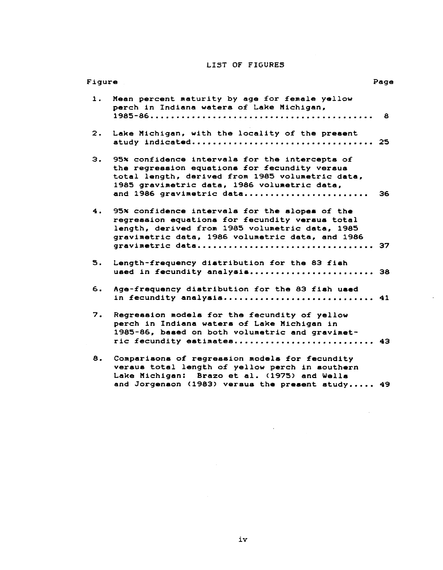# LIST OF FIGURES

| Figure |                                                                                                                                                                                                                                  | Page |
|--------|----------------------------------------------------------------------------------------------------------------------------------------------------------------------------------------------------------------------------------|------|
| 1.     | Mean percent maturity by age for female yellow<br>perch in Indiana waters of Lake Michigan,                                                                                                                                      | 8    |
| 2.     | Lake Michigan, with the locality of the present<br>study indicated 25                                                                                                                                                            |      |
| з.     | 95% confidence intervals for the intercepts of<br>the regression equations for fecundity versus<br>total length, derived from 1985 volumetric data,<br>1985 gravimetric data, 1986 volumetric data,<br>and 1986 gravimetric data | 36   |
| 4.     | 95% confidence intervals for the slopes of the<br>regression equations for fecundity versus total<br>length, derived from 1985 volumetric data, 1985<br>gravimetric data, 1986 volumetric data, and 1986<br>gravimetric data 37  |      |
| 5.     | Length-frequency distribution for the 83 fish<br>used in fecundity analysis 38                                                                                                                                                   |      |
| 6.     | Age-frequency distribution for the 83 fish used<br>in fecundity analysis 41                                                                                                                                                      |      |
| 7.     | Regression models for the fecundity of yellow<br>perch in Indiana waters of Lake Michigan in<br>1985-86, based on both volumetric and gravimet-<br>ric fecundity estimates 43                                                    |      |
| 8.     | Comparisons of regression models for fecundity<br>versus total length of yellow perch in southern<br>Lake Michigan: Brazo et al. (1975) and Wells<br>and Jorgenson (1983) versus the present study 49                            |      |

 $\sim$ 

 $\sim 10$ 

 $\sim 10$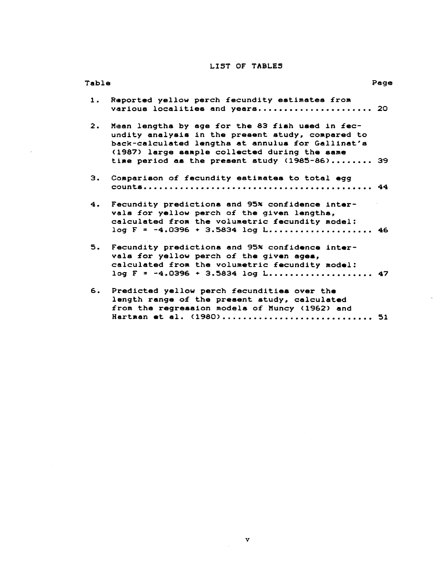# LIST OF TABLES

| Table          |                                                                                                                                                                                                                                                              | Page |
|----------------|--------------------------------------------------------------------------------------------------------------------------------------------------------------------------------------------------------------------------------------------------------------|------|
| 1.             | Reported yellow perch fecundity estimates from<br>various localities and years 20                                                                                                                                                                            |      |
| $\mathbf{2}$ . | Mean lengths by age for the 83 fish used in fec-<br>undity analysis in the present study, compared to<br>back-calculated lengths at annulus for Gallinat's<br>(1987) large sample collected during the same<br>time period as the present study (1985-86) 39 |      |
| з.             | Comparison of fecundity estimates to total egg                                                                                                                                                                                                               |      |
| 4.             | Fecundity predictions and 95% confidence inter-<br>vals for yellow perch of the given lengths,<br>calculated from the volumetric fecundity model:<br>$log F = -4.0396 + 3.5834 log L$ 46                                                                     |      |
| 5.             | Fecundity predictions and 95% confidence inter-<br>vals for yellow perch of the given ages,<br>calculated from the volumetric fecundity model:                                                                                                               |      |
| 6.             | Predicted yellow perch fecundities over the<br>length range of the present study, calculated<br>from the regression models of Muncy (1962) and<br>Hartman et al. (1980) 51                                                                                   |      |

 $\sim$ 

 $\sim$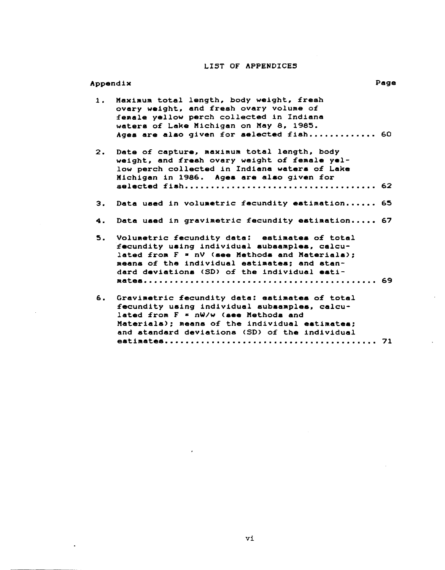# LIST OF APPENDICES

| Appendix |                                                                                                                                                                                                                                                  | Page |
|----------|--------------------------------------------------------------------------------------------------------------------------------------------------------------------------------------------------------------------------------------------------|------|
| 1.       | Maximum total length, body weight, fresh<br>ovary weight, and fresh ovary volume of<br>female yellow perch collected in Indiana<br>waters of Lake Michigan on May 8, 1985.<br>Ages are also given for selected fish 60                           |      |
| 2.       | Date of capture, maximum total length, body<br>weight, and fresh ovary weight of female yel-<br>low perch collected in Indiana waters of Lake<br>Michigan in 1986. Ages are also given for                                                       |      |
| З.       | Data used in volumetric fecundity estimation 65                                                                                                                                                                                                  |      |
| 4.       | Data used in gravimetric fecundity estimation 67                                                                                                                                                                                                 |      |
| 5.       | Volumetric fecundity data: estimates of total<br>fecundity using individual subsamples, calcu-<br>lated from F = nV (see Methods and Materials);<br>means of the individual estimates; and stan-<br>dard deviations (SD) of the individual esti- |      |
| 6.       | Gravimetric fecundity data: estimates of total                                                                                                                                                                                                   |      |
|          | fecundity using individual subsamples, calcu-<br>lated from F = nW/w (see Methods and<br>Materials); means of the individual estimates;<br>and standard deviations (SD) of the individual                                                        |      |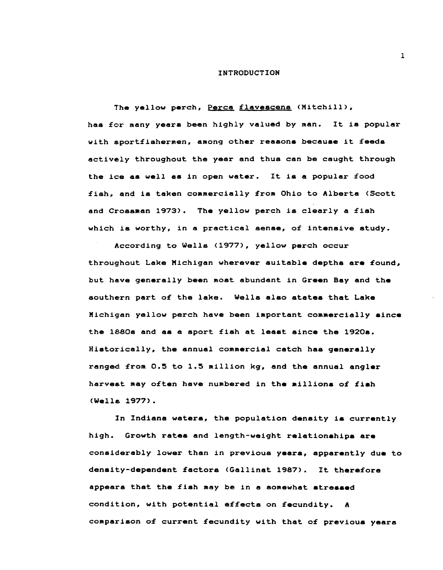#### INTRODUCTION

The yellow perch, Perca flavescens (Mitchill), has £or many yeara been highly valued by man. It is popular with aportfishermen, among other reasons because it feeds actively throughout the year and thus can be caught through the ice as well as in open water. It is a popular food £ish, and is taken commercially £rom Ohio to Alberta (Scott and Crossman 1973). The yellow perch is clearly a fish which is worthy, in a practical sense, of intensive study.

According to Wells (1977), yellow perch occur throughout Lake Michigan wherever suitable deptha are £ound, but heve generally been most abundant in Green Bay and the southern part o£ the lake. Wells alao statea that Lake Michigan yellow perch have been important commercially since the 1880s and aa a sport £ish at leaat since the 1920s. Historically, the annual commercial catch has generally ranged £rom 0.5 to 1.5 million kg, and the annual angler harvest may often have numbered in the millions of fish (Wella 1977).

In Indiana waters, the population density is currently high. Growth rates and length-weight relationships are considerably lower than in previous years, apparently due to density-dependent factors (Gallinat 1987). It therefore appears that the £ish may be in a somewhat stressed condition, with potential effects on fecundity. A comparison o£ current £ecundity with that o£ previous years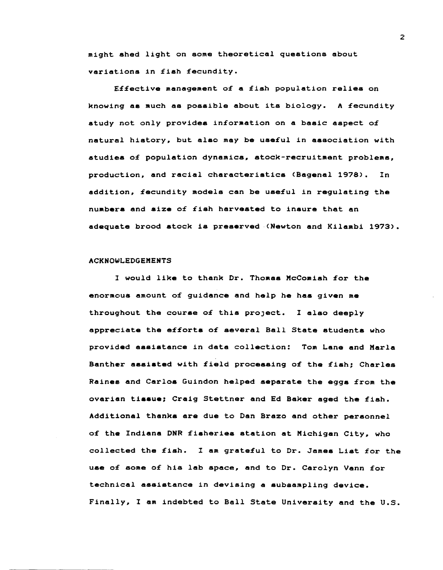might shed light on some theoretical questions about variations in fish fecundity.

Effective management of a fish population relies on knowing aa much as possible about its biology. A fecundity study not only provides information on a basic aspect of natural history, but also may be useful in association with studies of population dynamics, stock-recruitment problems, production, and racial characteristics (Bagenal 1978). In addition, fecundity models can be useful in regulating the numbers and size of fish harvested to insure that an adequate brood stock is preserved ,(Newton and Kilambi 1973).

### ACKNOWLEDGEMENTS

1 would like to thank Dr. Thomas McComish for the enormous amount of guidance and help he has given me throughout the course of this project. I also deeply appreciate the efforts of several Ball State stUdents who provided assistance in data collection: Tom Lane and Marla Banther assisted with field processing of the fiah; Charles Raines and Carlos Guindon helped separate the eggs from the ovarian tissue; Craig Stettner and Ed Baker aged the fish. Additional thanks are due to Dan Brazo and other personnel of the Indiana DNR fiaheries station at Michigan City, who collected the fish. I am grateful to Dr. James List for the use of some of his lab space, and to Dr. Carolyn Vann for technical assistance in devising a subsampling device. Finally, I am indebted to Ball State University and the U.S.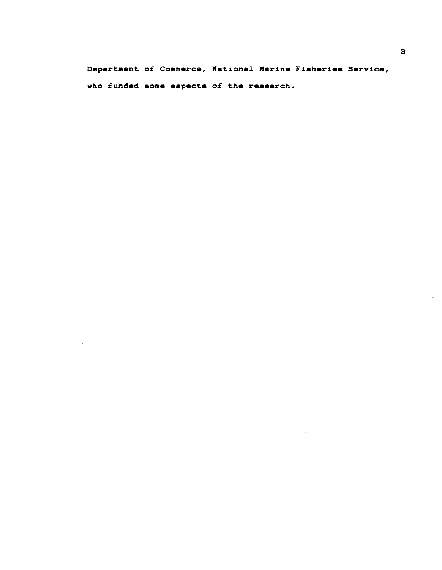Department of Commerce, National Marine Fisheries Service, who funded some aspects of the research.

 $\sim$   $\pm$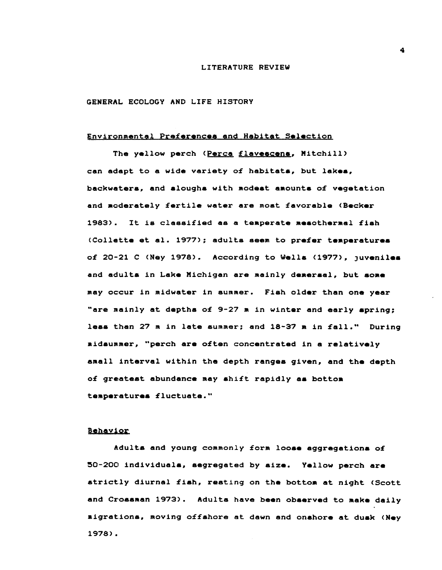# LITERATURE REVIEW

# GENERAL ECOLOGY AND LIFE HISTORY

# Environmental Preferences and Habitat Selection

The yellow perch (Perca flavescens, Mitchill) can adapt to a wide variety o£ habitata, but lakea, backwaters, and aloughs with modest amounts of vegetation and moderately £ertile water are most £avorable (Secker 1983). It is classified as a temperate mesothermal fish (Collette et al. 1977); adults seem to prefer temperatures of 20-21 C (Ney 1978). According to Wells (1977), juveniles and adults in Lake Michigan are mainly demersal, but some may occur in midwater in summer. Fish older than one year "are mainly at deptha o£ 9-27 m in winter and early apring; less than 27 m in late summer; and 18-37 m in fall." During aidaurnmer, "perch are often concentrated in a relatively amall interval within the depth ranges given, and the depth of greatest abundance may shift rapidly as bottom temperaturea fluctuate."

# Behavior

Adults and young commonly form loose aggregations of 50-200 individuals, segregated by size. Yellow perch are atrictly diurnal £iah, resting on the bottom at night (Scott and Crosaman 1973). Adults have been obaerved to make daily aigrations, moving offshore at dawn and onshore at dusk (Ney 1978).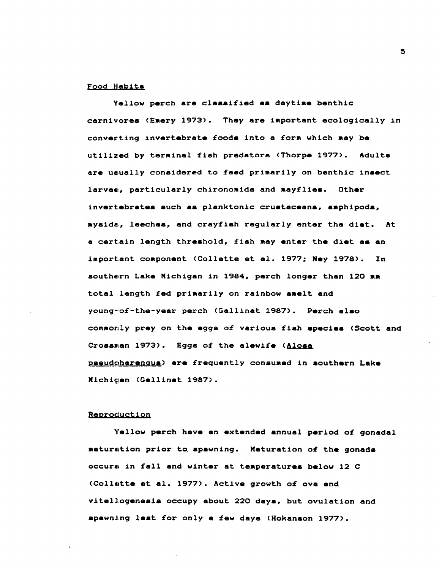#### Food Habits

Yellow perch are classified as daytime benthic carnivores (Emery 1973). They are important ecologically in converting invertebrate foods into a form which may be utilized by terminal fish predators (Thorpe 1977). Adults are usually considered to feed primarily on benthic insect larvae, particularly chironomids and aayflies. Other invertebrates such as planktonic crustaceans, aaphipods, mysida, leeches, and crayfish regularly enter the diet. At a certain length threshold, fish may enter the diet as an important component (Collette et al. 1977; Ney 1978). In southern Lake Michigan in 1984, perch longer than 120 aa total length fed primarily on rainbow amelt and young-of-the-year perch <Gallinat 1987). Perch also commonly prey on the eggs of various fiah species (Scott and Crossman 1973). Eggs of the alewife (Alosa pseudoharenqus) are frequently consumed in southern Lake Michigan (Gallinat 1987>.

#### Reproduction

Yellow perch have an extended annual period of gonadal maturation prior to spawning. Maturation of the gonads occurs in fall and winter at temperatures below 12 C (Collette et al. 1977). Active growth of ova and vitellogenesis occupy about 220 days, but ovulation and spawning last for only a few days (Hokanson 1977).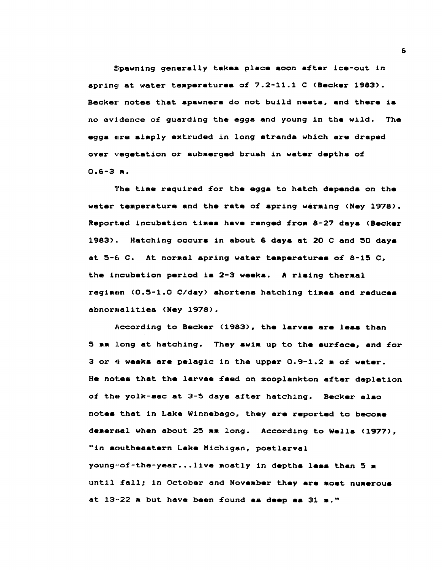Spawning generally takes place aoon after ice-out in spring at water teaperatures of 7.2-11.1 C (Secker 1983). Becker notes that spawners do not build nests, and there is no evidence of guarding the eggs and young in the wild. The eggs are simply extruded in long strands which are draped over vegetation or subaerged bruah in water deptha of *0.6-3* ••

The time required for the eggs to hatch depends on the water temperature and the rate of spring warming (Ney 1978). Reported incubation times have ranged from 8-27 days (Becker 1983). Hatching occurs in about 6 days at 20 C and 50 days at  $5-6$  C. At normal spring water temperatures of 8-15 C, the incubation period is 2-3 weeks. A rising thermal regimen (0.5-1.0 C/day) shortens hatching times and reduces abnormalities (Ney 1978).

According to Becker (1983), the larvae are less than 5 mm long at hatching. They swim up to the surface, and for 3 or 4 week. are pelagic in the upper *0.9-1.2* a of water. He notea that the larvae feed on zooplankton after depletion of the yolk-sac at 3-5 daya after hatching. Seeker alao notes that in Lake Winnebago, they are reported to become demersal when about 25 mm long. According to Wells (1977), "in southeaatern Lake Michigan, poatlarval young-of-the-year...live mostly in depths less than 5 m until fall; in October and November they are most numerous at  $13-22$   $n$  but have been found as deep as  $31$   $n$ ."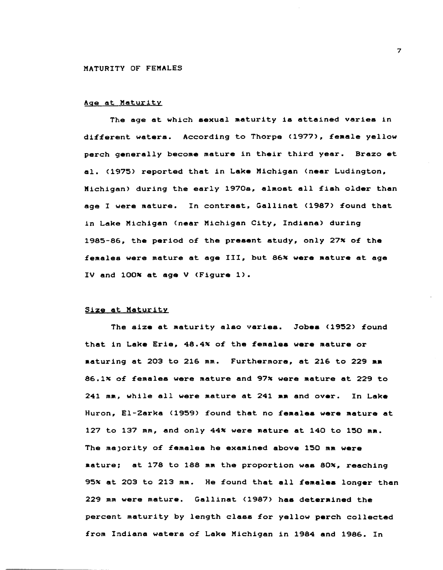#### Age at Maturity

The age at which sexual maturity is attained varies in different waters. According to Thorpe (1977), female yellow perch generally become mature in their third year. Brazo at al. (1975) reported that in Lake Michigan (near Ludington, Michigan) during the early 1970s, almost all fish older than age I were mature. In contrast, Gallinat (1987) found that in Lake Michigan (near Michigan City, Indiana) during 1985-86, the period of the present study, only 27% of the females were mature at age III, but 86% were mature at age IV and 100% at age V (Figure 1).

### Size at Maturity

The size at maturity also varies. Jobes (1952) found that in Lake Erie, 48.4% of the females were mature or • aturing at 203 to 216 mm. Furthermore~ at 216 to 229 **••**  86.1% of females were mature and 97% were mature at 229 to 241 mm, while all were mature at 241 mm and over. In Lake Huron, El-Zarka (1959) found that no females were mature at 127 to 137 mm, and only 44~ were aature at 140 to 150 ma. The majority of females he examined above 150 mm were mature; at 178 to 188 mm the proportion was 80%, reaching 95% at 203 to 213 mm. He found that all females longer than 229 mm were mature. Gallinat (1987) has determined the percent maturity by length class £or yellow perch collected from Indiana waters of Lake Michigan in 1984 and 1986. In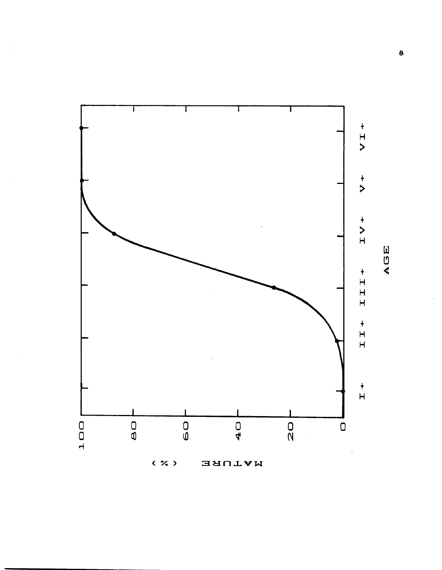

AGE

 $\bullet$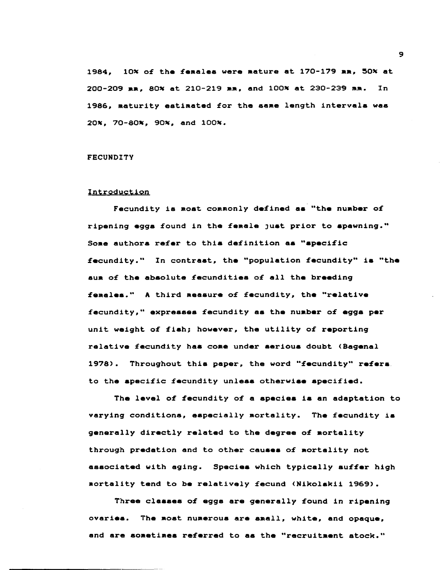1984, 10% of the females were mature at 170-179 mm, 50% at 200-209 mm. 80% at 210-219 mm. and 100% at 230-239 mm. In 1986. maturity estimated for the same length intervals was 20%. 70-80%. 90%. and 100%.

# **FECUNDITY**

#### Introduction

Fecundity is most commonly defined as "the number of ripening eggs found in the female just prior to spawning." Some authors refer to this definition as "specific fecundity." In contrast, the "population fecundity" is "the sum of the absolute fecundities of all the breeding females." A third measure of fecundity, the "relative fecundity," expresses fecundity as the number of eggs per unit weight of fish; however, the utility of reporting relative fecundity has come under serious doubt (Bagenal 1978). Throughout this paper, the word "fecundity" refers. to the specific fecundity unless otherwise specified.

The level of fecundity of a species is an adaptation to varying conditions, especially mortality. The fecundity is generally directly related to the degree of mortality through predation and to other causes of mortality not associated with aging. Species which typically suffer high mortality tend to be relatively fecund (Nikolskii 1969).

Three classes of eggs are generally found in ripening ovaries. The most numerous are small, white, and opaque, and are sometimes referred to as the "recruitment stock."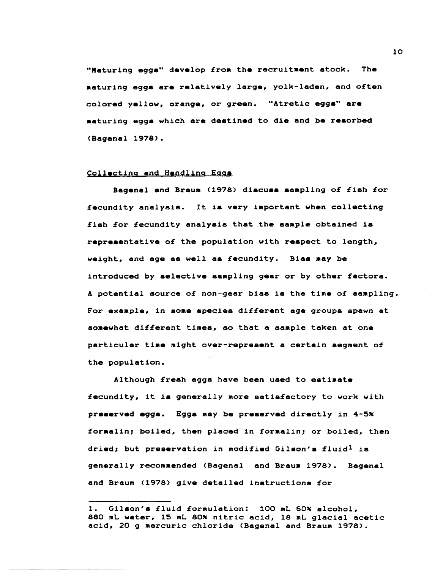"Maturing eggs" develop from the recruitaent stock. The .aturing eggs are relatively large, yolk-laden, and often colored yellow, orange, or green. "Atretic eggs" are maturing egga which are destined to die and be resorbed (Bagenal 1978).

## Collecting and Handling Eggs

Bagenal and Braum (1978) discuss sampling of fish for fecundity analysis. It is very important when collecting fish for fecundity analysis that the sample obtained is representative of the population with respect to length, weight, and age as well as fecundity. Bias may be introduced by selective sampling gear or by other factors. A potential source of non-gear bias is the time of sampling. For example, in aome species different age groups spawn at somewhat different times, so that a sample taken at one particular time might over-represent a certain segment of the population.

Although fresh eggs have been used to estimate fecundity, it ia generally more satis£actory to work with preserved eggs. Eggs may be preserved directly in 4-5% foraalin; boiled, then placed in formalin; or boiled, then dried; but preservation in modified Gilson's fluid<sup>1</sup> is generally recommended (Bagenal and Braum 1978). Bagenal and Braum (1978) give detailed instructions for

<sup>1.</sup> Gilson's fluid formulation: 100 mL 60% alcohol, 880 mL water, 15 mL 80% nitric acid, 18 mL glacial acetic acid, 20 g mercuric chloride (Bagenal and Braum 1978).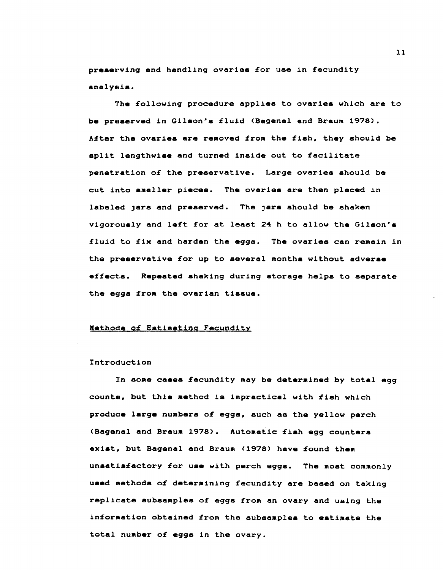preserving and handling ovaries for use in fecundity analyeis.

The following procedure applies to ovaries which are to be preserved in Gilson's fluid (Bagenal and Braum 1978). After the ovaries are removed from the fish, they should be split lengthwise and turned inside out to facilitate penetration of the preservative. Large ovaries should be cut into smaller pieces. The ovaries are then placed in labeled jars and preserved. The jars should be shaken vigorously and left for at least 24 h to allow the Gilson's fluid to fix and harden the eggs. The ovaries can remain in the preservative for up to several months without adverse e££ects. Repeated shaking during storage helps to separate the eggs from the ovarian tissue.

### Xethode o£ Estimating Fecundity

#### Introduction

In some cases fecundity may be determined by total egg counts, but this method is impractical with fish which produce large numbers of eggs, such as the yellow perch (Bagenal and Braum 1978). Automatic fish egg counters exist, but Bagenal and Braum (1978) have found them unsatisfactory for use with perch eggs. The most commonly used methods o£ determining fecundity are based on taking replicate subsamples of eggs from an ovary and using the information obtained from the subsamples to estimate the total number of eggs in the ovary.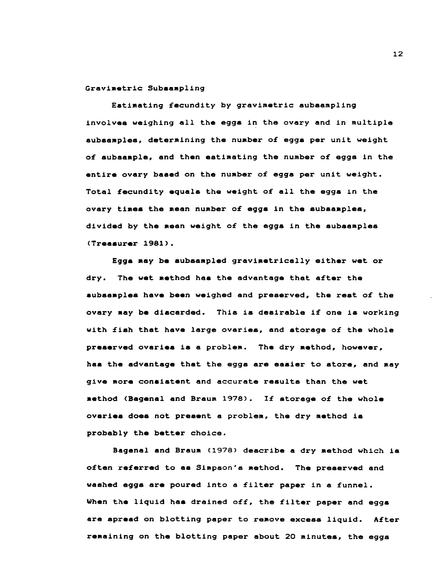## Gravimetric Subsampling

Estimating £ecundity by gravimetric subsampling involves weighing all the eggs in the ovary and in multiple subaamples, determining the number o£ eggs per unit weight o£ subsample, and then estimating the number o£ eggs in the entire ovary based on the number o£ eggs per unit weight. Total £ecundity equals the weight o£ all the eggs in the ovary times the mean number o£ eggs in the subsamples, divided by the mean weight o£ the eggs in the subsamples (Treasurer 1981).

Eggs may be subsampled gravimetrically either wet or dry. The wet method has the advantage that after the subsamples have been weighed and preserved, the rest of the ovary may be discarded. This ia desirable i£ one is working with fish that have large ovaries, and storage of the whole preserved ovaries is a problem. The dry method, however, has the advantage that the eggs are easier to store, and may give more consistent and accurate results than the wet aethod (Bagenal and Braum 1978). 1£ storage o£ the whole ovaries does not present a problem, the dry method is probably the better choice.

Bagenal and Braum (1978) describe a dry method which is often referred to as Simpson's method. The preserved and washed eggs are poured into a filter paper in a funnel. When the liquid has drained off, the filter paper and eggs are spread on blotting paper to remove excess liquid. After remaining on the blotting paper about 20 minutes, the eggs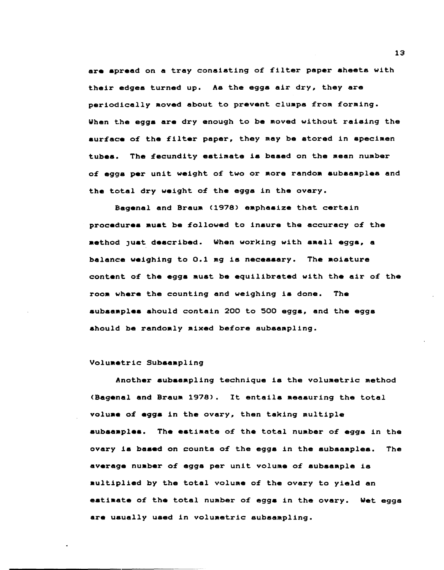are spread on a tray consisting of filter paper aheets with their edges turned up. As the eggs air dry, they are periodically Moved about to prevent clumps from forming. When the eggs are dry enough to be moved without raising the surface of the filter paper, they may be stored in specimen tubes. The fecundity estimate is based on the mean number of eggs per unit weight of two or more random subsamples and the total dry weight of the eggs in the ovary.

Bagenal and Braum (1978) emphasize that certain procedures must be £ollowed to insure the accuracy of the method just described. When working with small eggs, a balance weighing to 0.1 mg is necessary. The moisture content of the eggs must be equilibrated with the air of the room where the counting and weighing is done. The subsaaple. should contain 200 to 500 eggs, and the eggs should be randomly mixed before subsampling.

### Volumetric Subaampling

Another aubsaapling technique is the volumetric method (Bagenal and Braum 1978). It entaila measuring the total volume of eggs in the ovary, then taking multiple subsamples. The estimate of the total number of eggs in the ovary ia based on counts of the eggs in the subsamplea. The average number of egg8 per unit volume of subsample is multiplied by the total volume of the ovary to yield an estimate of the total number of eggs in the ovary. Wet eggs are usually used in volumetric subsampling.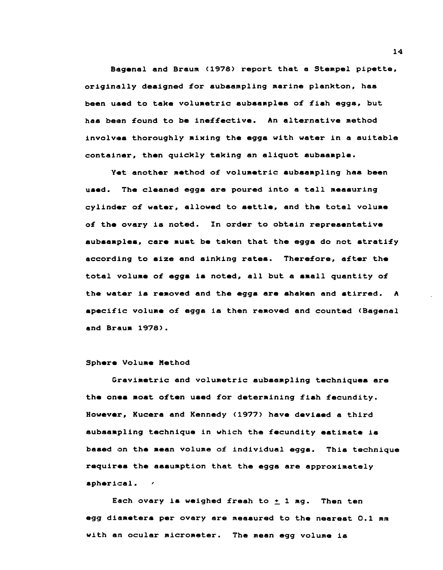Bagenal and Braum (1978) report that a Stempel pipette, originally designed for subsampling marine plankton, has been used to take volumetric subsamples of fish eggs, but haa been £ound to be ine££ective. An alternative method involves thoroughly mixing the eggs with water in a suitable container, then quickly taking an aliquot subsample.

Yet another method of volumetric subsampling has been used. The cleaned eggs are poured into a tall measuring cylinder o£ water, allowed to settle, and the total volume o£ the ovary is noted. In order to obtain repreaentative subsamples, care must be taken that the eggs do not stratify according to size and sinking rates. Therefore, after the total volume o£ eggs is noted, all but a small quantity o£ the water is removed and the eggs are ahaken and stirred. A speci£1c volume o£ egg8 is then removed and counted (Bagenal and Braum 1978).

### Sphere Volume Method

Gravimetric and volumetric subsampling techniques are the ones most often used for determining fish fecundity. However, Kucera and Kennedy (1977) have devised a third aubaampling technique in which the £ecundity estimate ia based on the mean volume o£ individual eggs. This technique requires the assumption that the eggs are approximately spherical. /

Each ovary is weighed freah to  $\pm$  1 mg. Then ten egg diameters per ovary are measured to the neareat 0.1 *mm*  with an ocular micrometer. The mean egg volume is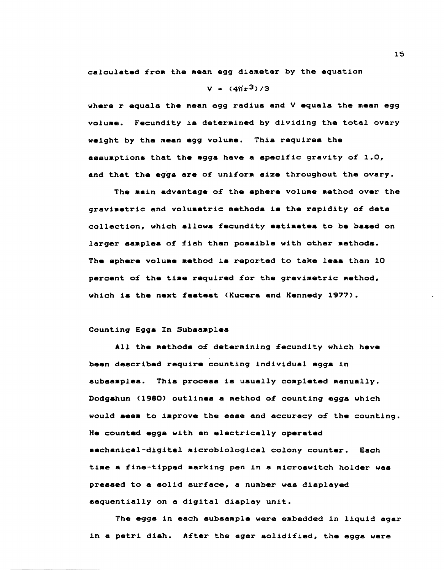calculated from the mean egg diameter by the equation

## $V = (4\pi r^3)/3$

where r equals the mean egg radius and  $V$  equals the mean egg volume. Fecundity is determined by dividing the total ovary weight by the mean egg volume. Thia requires the assuMptions that the eggs have a specific gravity of 1.0, and that the eggs are of uniform size throughout the ovary.

The main advantage of the sphere volume method over the gravimetric and volumetric methods is the rapidity of data collection, which allows fecundity estimates to be based on larger samples of fish than possible with other methods. The sphere volume method is reported to take less than 10 percent of the time required for the gravimetric method, which is the next fastest (Kucera and Kennedy 1977).

# Counting Eggs In Subsamples

All the methods of determining fecundity which have been described require counting individual eggs in subsamples. This process is usually completed manually. Dodgahun (1980) outlines a method of counting eggs which would seem to improve the ease and accuracy of the counting. He counted eggs with an electrically operated .echanical-digital microbiological colony counter. Each time a fine-tipped marking pen in a microswitch holder was pressed to a solid surface, a number was displayed sequentially on a digital display unit.

The eggs in each subsample were embedded in liquid agar in a petri dish. After the agar solidified, the eggs were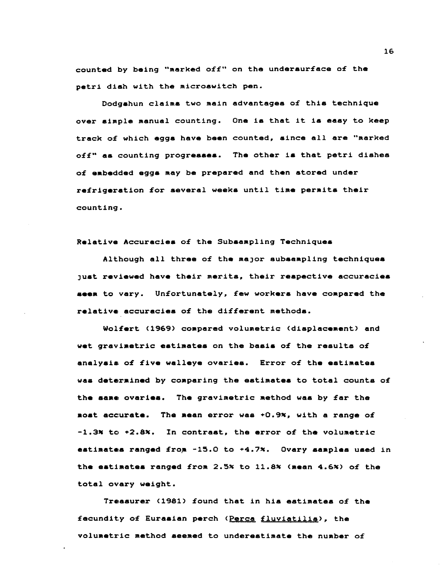counted by being "marked off" on the undersurface of the petri dish with the microswitch pen.

Dodgahun claims two main advantages of this technique over simple manual counting. One is that it is easy to keep track of which eggs have been counted, since all are "marked off" as counting progresses. The other is that petri dishes of embedded eggs may be prepared and then stored under refrigeration for several weeks until time permits their counting.

Relative Accuracies of the Subsampling Techniques

Although all three of the major subsampling techniques just reviewed have their merits, their respective accuracies seem to vary. Unfortunately, few workers have compared the relative accuracies of the different methods.

Wolfert (1969) compared volumetric (displacement) and wet gravimetric estimates on the basis of the results of analysis of five walleye ovaries. Error of the estimates was determined by comparing the estimates to total counts of the same ovaries. The gravimetric method was by far the most accurate. The mean error was +0.9%, with a range of  $-1.3x$  to  $+2.8x$ . In contrast, the error of the volumetric estimates ranged from -15.0 to +4.7%. Ovary samples used in the estimates ranged from 2.5% to 11.8% (mean 4.6%) of the total ovary weight.

Treasurer (1981) found that in his estimates of the fecundity of Eurasian perch (Perca fluviatilia), the volumetric method aeemed to underestimate the number of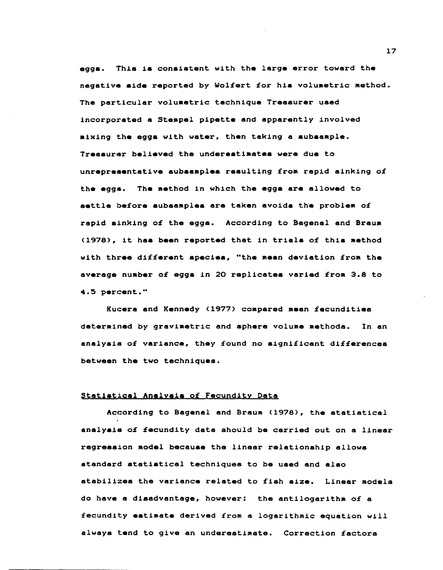eggs. This is consistent with the large error toward the negative side reported by Wolfert for his volumetric method. The particular volumetric technique Treasurer used incorporated a Stempel pipette and apparently involved mixing the eggs with water, then taking a subsample. Treasurer believed the underestimates were due to unrepresentative subsamples resulting from rapid sinking of the eggs. The method in which the eggs are allowed to settle before subsamples are taken avoids the problem of rapid sinking of the eggs. According to Bagenal and Braum (1978), it has been reported that in trials of this method with three different apecies, "the mean deviation from the average number of eggs in 20 replicates varied from 3.8 to 4.5 percent."

Kucera and Kennedy (1977) compared mean fecundities determined by gravimetric and sphere volume methods. In an analysis of variance, they found no significant differences between the two techniques.

### Statistical Analysis of Fecundity Data

According to Bagenal and Braum (1978), the statistical analysis of fecundity data should be carried out on a linear regression model because the linear relationship allows standard statistical techniques to be used and also stabilizes the variance related to fish size. Linear models do have a disadvantage, however: the antilogarithm of a fecundity estimate derived from a logarithmic equation will always tend to give an underestimate. Correction factors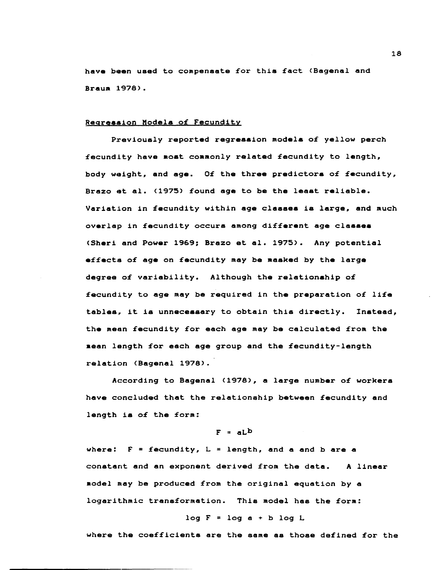have been used to compensate for this fact (Bagenal and Braum 1978).

## Regression Models of Fecundity

Previously reported regression models of yellow perch fecundity have most commonly related fecundity to length, body weight, and age. Of the three predictors of fecundity, Brazo et al. (1975) found age to be the least reliable. Variation in fecundity within age classes is large, and much overlap in fecundity occurs among different age classes (Sheri and Power 1969; Brazo et al. 1975). Any potential effects of age on fecundity may be masked by the large degree of variability. Although the relationship of £ecund1ty to age may be required in the preparation of life tables, it is unnecessary to obtain this directly. Instead, the mean fecundity for each age may be calculated from the aean length for each age group and the fecundity-length relation (Bagenal 1978).

According to Bagenal (1978), a large number of workers have concluded that the relationship between fecundity and length is of the form:

# $F = aLb$

where:  $F = fecundity$ ,  $L = length$ , and a and b are a constant and an exponent derived £rom the data. A linear aodel may be produced from the original equation by a logarithmic transformation. This model haa the form:

## *log* F = *log* a ~ b log L

where the coefficients are the same as those defined for the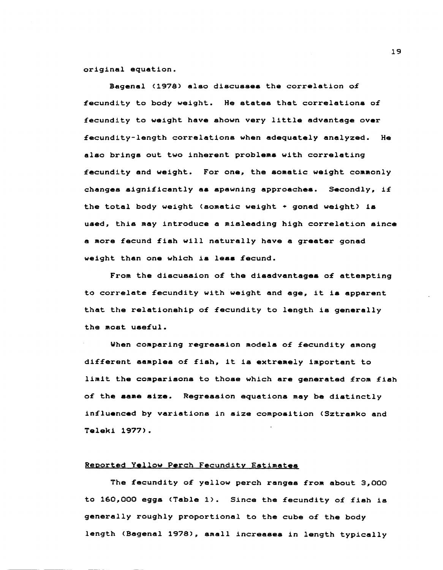original equation.

Bagenal (1978) also discusses the correlation of fecundity to body weight. He statea that correlationa of fecundity to weight have ahown very little advantage over fecundity-length correlationa when adequately analyzed. He alao bringa out two inherent problema with correlating fecundity and weight. For one, the somatic weight commonly changes significantly aa spawning approachea. Secondly, if the total body weight (somatic weight  $*$  gonad weight) is used, this may introduce a misleading high correlation since a more fecund fish will naturally have a greater gonad weight than one which is less fecund.

From the discussion of the disadvantages of attempting to correlate fecundity with weight and age, it is apparent that the relationship of fecundity to length is generally the most useful.

When comparing regression models of fecundity among different samples of fish, it is extremely important to limit the comparisons to those which are generated from fish of the aame size. Regression equations may be diatinctly influenced by variations in size composition (Sztramko and Teleki 1977).

## Reported Yellow Perch Fecundity Estimates

The fecundity of yellow perch ranges from about 3,000 to 160,000 eggs (Table 1). Since the fecundity of fish is generally roughly proportional to the cube of the body length (Bagenal 1978), small increasea in length typically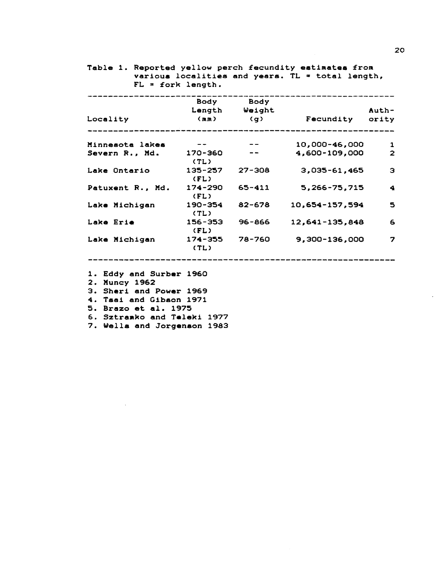|                           |                 | Body Body              |                          |                      |
|---------------------------|-----------------|------------------------|--------------------------|----------------------|
|                           |                 | Length Weight          |                          | Auth-                |
| Locality                  |                 |                        | (mm) (g) Fecundity ority |                      |
| Minnesota lakes           | $- - -$         | $\sim$ $\sim$ $\sim$   | 10,000-46,000            | $\mathbf{1}$         |
| Severn R., Md. 170-360 -- | (TL)            |                        | 4,600-109,000            | $\overline{2}$       |
| Lake Ontario              | (FL)            | $135 - 257$ $27 - 308$ | $3,035 - 61,465$         | Э                    |
| Patuxent R., Md.          | (FL)            | $174 - 290$ 65-411     | 5,266-75,715             | $\blacktriangleleft$ |
| Lake Michigan             | 190-354<br>(TL) | 82-678                 | 10,654-157,594           | 5                    |
| Lake Erie                 | (FL)            | 156-353 96-866         | 12,641-135,848           | 6                    |
| Lake Michigan             | (TL)            | 174-355 78-760         | 9,300-136,000            | 7                    |

 $\ddot{\phantom{a}}$ 

2. Muncy 1962<br>3. Sheri and Power 1969

4. Tsai and Gibson 1971

5. Brazo et al. 1975

6. Sztramko and Teleki 1977

7. Wells and Jorgenson 1983

20

 $\ddot{\phantom{a}}$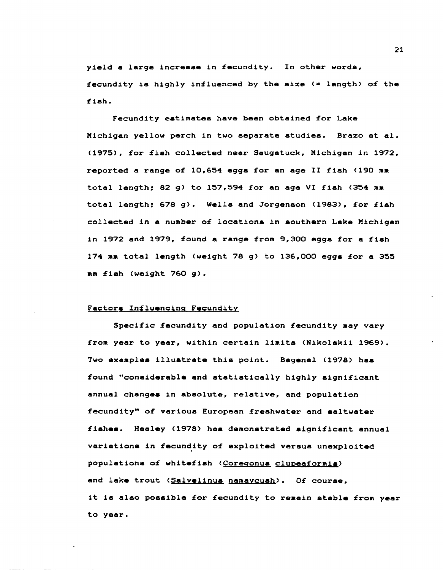yield a large increase in fecundity. In other words, fecundity is highly influenced by the size  $($  = length) of the fish.

Fecundity estimates have been obtained for Lake Michigan yellow perch in two separate studiea. Brazo et al. (1975), £or £ish collected near Saugatuck, Michigan in 1972, reported a range o£ 10,654 eggs for an age II fish (190 mm total length; 82 g) to 157,594 £or an age VI fish (354 mm total length; 678 g). Wells and Jorgenson (1983), for fish collected in a number o£ locations in southern Lake Michigan in 1972 and 1979, £ound a range from 9,300 eggs for a fish 174 mm total length (weight 78 g) to 136,000 eggs for a 355 mm £ish (weight 760 g).

# Factors In£luencing Fecundity

Speci£ic £ecundity and population fecundity may vary £rom year to year, within certain limits (Nikolskii 1969). Two examples illustrate this point. Bagenal (1978) has found "considerable and statistically highly significant annual changes in absolute, relative, and population £ecundity" of various European freshwater and saltwater fishes. Healey (1978) has demonstrated significant annual variations in fecundity of exploited versus unexploited populations of whitefish (Coregonus clupeaformis) and lake trout (Salvelinus namaycush). Of course, it is also posaible £or £ecundity to remain stable £rom year to year.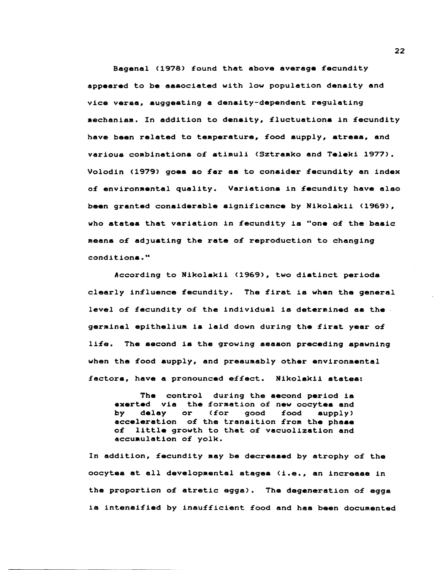Bagenal (1978) found that above average fecundity appeared to be aaaociated with low population density and vice veraa, suggesting a density-dependent regulating aechanism. In addition to density, fluctuations in fecundity have been related to temperature, food supply, stress, and various combinations of stimuli (Sztramko and Teleki 1977). Volodin (1979) goes so far as to consider fecundity an index of environmental quality. Variations in fecundity have also been granted considerable significance by Nikolskii (1969), who states that variation in fecundity is "one of the basic means of adJusting the rate of reproduction to changing conditions."

According to Nikolskii (1969), two distinct periods clearly influence fecundity. The first is when the general level of fecundity of the individual is determined as the. germinal epithelium is laid down during the firat year of life. The second is the growing aeason preceding spawning when the food supply, and presumably other environmental factors, have a pronounced effect. Nikolskii atates:

The control during the second period is exerted via the formation of new oocytes and by delay or (for good food supply) by delay or (for good food supply)<br>acceleration of the transition from the phase of little growth to that of vacuolization and accuaulation of yolk.

In addition, fecundity may be decreased by atrophy of the oocytes at all developmental stages (i.e., an increase in the proportion of atretic eggs). The degeneration of eggs is intensified by insufficient food and has been documented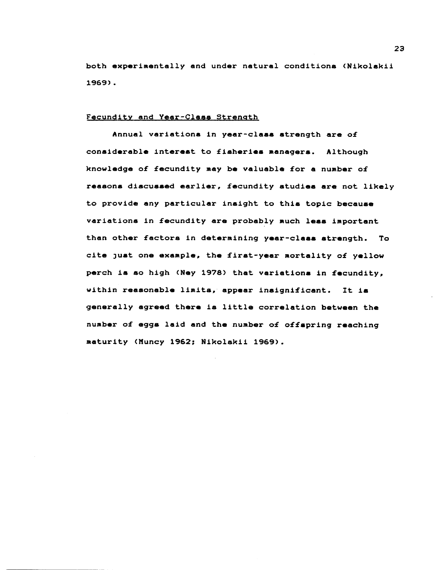both experimentally and under natural conditions (Nikolskii 1969).

## Fecundity and Year-Class Strength

Annual variations in year-class strength are of considerable interest to fisheries managers. Although knowledge of fecundity may be valuable for a number of reasons discussed earlier, fecundity studies are not likely to provide any particular insight to this topic because variations in fecundity are probably much less important than other factors in determining year-class strength. To cite just one example, the first-year mortality of yellow perch is so high (Ney 1978) that variations in fecundity, within reasonable limits, appear insignificant. It is generally agreed there is little correlation between the number of eggs laid and the number of offspring reaching maturity (Muncy 1962; Nikolskii 1969).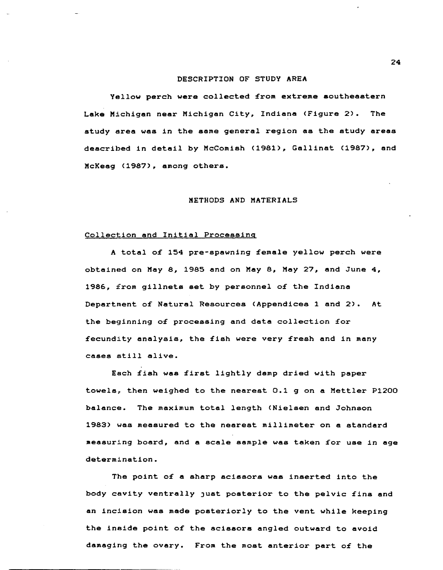# DESCRIPTION OF STUDY AREA

Yellow perch were collected £rom extreme southeastern Lake Michigan near Michigan City, Indiana (Figure 2). The study 8rea was in the same general region as the study areas described in detail by McComish (1981), Gallinat (1987), and McKeag (1987), among others.

# METHODS AND MATERIALS

# Collection and Initial Processing

A total o£ 154 pre-spawning £emale yellow perch were obtained on May 8, 1985 and on May 8, May 27, and June 4, 1986, £rom gillnets set by personnel o£ the Indiana Department o£ Natural Resources (Appendices 1 and 2). At the beginning of processing and data collection for fecundity analysis, the fish were very fresh and in many cases still alive.

Each fish was first lightly damp dried with paper towels, then weighed to the nearest  $0.1$  g on a Mettler P1200 balance. The maximum total length (Nielsen and Johnson 1983) was measured to the nearest millimeter on a standard measuring board, and a scale sample was taken £or use in age determination.

The point o£ a sharp scissors was inserted into the body cavity ventrally Just posterior to the pelvic £ins and an incision was made posteriorly to the vent while keeping the inside point o£ the scissors angled outward to avoid damaging the ovary. From the most anterior part of the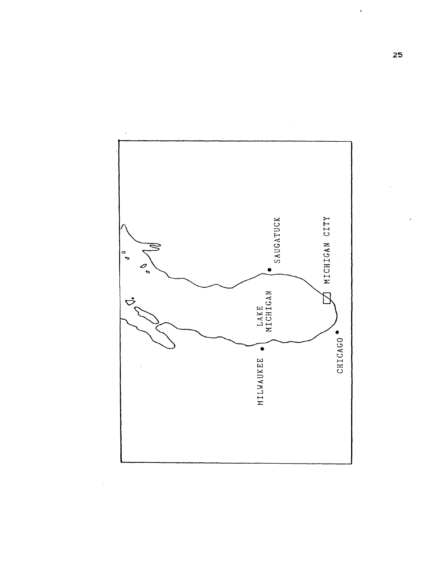

 $\hat{\boldsymbol{\beta}}$ 

Ŷ,

 $\ddot{\phantom{0}}$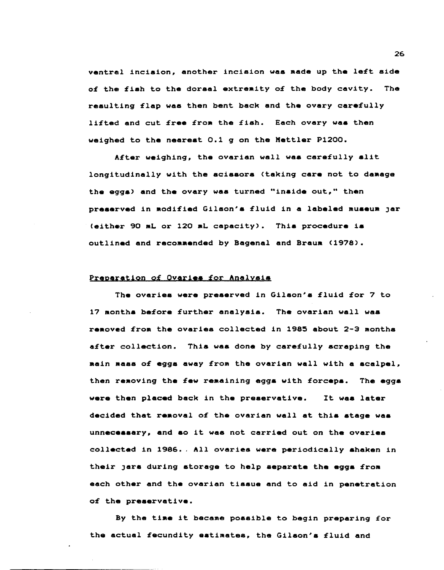ventral incision, another incision was made up the left side of the fish to the dorsal extremity of the body cavity. The resulting flap was then bent back and the ovary carefully lifted and cut free from the fish. Each ovary was then weighed to the nearest 0.1 g on the Mettler P1200.

After weighing, the ovarian wall was carefully slit longitudinally with the acissors (taking care not to damage the eggs) and the ovary was turned "inside out," then preserved in modified Gilson's fluid in a labeled museum jar (either 90 mL or 120 mL capacity). This procedure is outlined and recommended by Bagenal and Braum (1978).

### Preparation of Ovaries for Analysis

The ovaries were preserved in Gilson's fluid for 7 to 17 Months before further analysis. The ovarian wall was removed from the ovaries collected in 1985 about 2-3 months after collection. This was done by carefully scraping the Main aass of eggs away from the ovarian wall with a scalpel, then removing the few remaining eggs with forceps. The eggs were then placed back in the preservative. It was later decided that removal of the ovarian wall at this stage was unnecessary, and so it was not carried out on the ovaries collected in 1986 •. All ovaries were periodically shaken in their jars during storage to help separate the eggs from each other and the ovarian tissue and to aid in penetration of the preservative.

By the time it became possible to begin preparing for the actual fecundity estimates, the Gilson's fluid and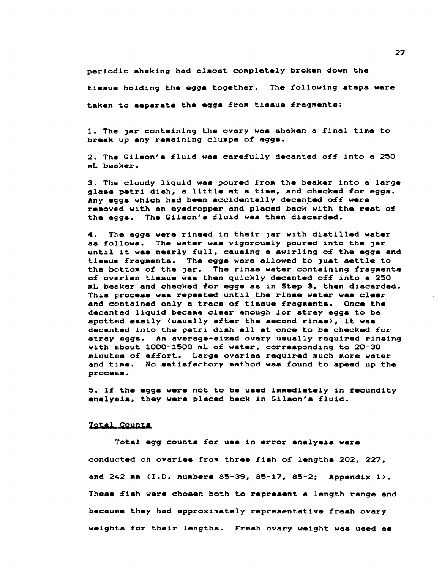periodic shaking had almost completely broken down the

tissue holding the eggs together. The following steps were

taken to separate the eggs from tissue fragments:

1. The Jar containing the ovary was ahaken a final time to break up any remaining clumps of eggs.

2. The Gilson~s fluid waa carefully decanted off into a 250 mL beaker.

3. The cloudy liquid was poured from the beaker into a large glass petri dish. a little at a time. and checked for egga. Any eggs which had been accidentally decanted off were removed with an eyedropper and placed back with the rest of the eggs. The Gilson's fluid was then discarded.

4. The eggs were rinaed in their Jar with diatilled water as follows. The water was vigorously poured into the Jar until it was nearly full, cauaing a swirling of the eggs and tissue fragmenta. The egg8 were allowed to Just aettle to the bottom of the jar. The rinse water containing fragments of ovarian tissue was then quickly decanted off into a 250 mL beaker and checked for eggs as in Step 3, then discarded. This procesa was repeated until the rinse water waa clear and contained only a trace of tissue fragaents. Once the decanted liquid became clear enough for stray eggs to be spotted easily (usually after the aecond rinse), it waa decanted into the petri dish all at once to be checked for stray eggs. An average-sized ovary ususlly required rinsing with about 1000-1500 mL of water. corresponding to 20-30 minutes of effort. Large ovaries required much more water and time. No satisfactory method was found to speed up the process.

5. If the eggs were not to be used immediately in fecundity analysis, they were placed back in Gilson's fluid.

### **Total Counts**

Total egg counts for use in error analyais were conducted on ovaries from three fish of lengths 202. 227, and 242 am (1.0. nuabera 85-39, 85-17, 85-2: Appendix 1). These fiah were chosen both to represent a length range and because they had approximately representative fresh ovary weights for their lengths. Fresh ovary weight waa used **as**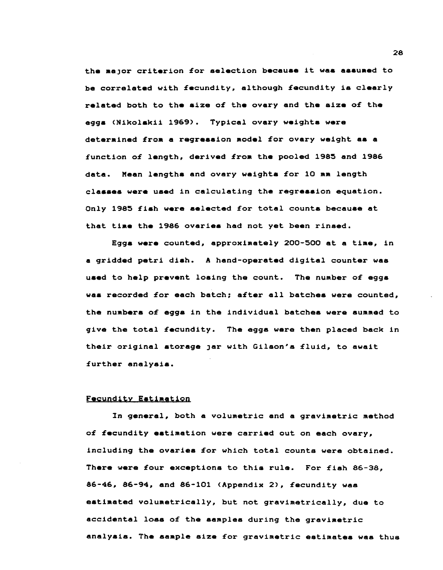the major criterion for selection because it was assumed to be correlated with fecundity, although fecundity is clearly related both to the size of the ovary and the size of the egg. (Nikolskii 1969). Typical ovary weights were determined from a regression model for ovary weight as a function of length, derived from the pooled 1985 and 1986 data. Mean lengths and ovary weights for 10 mm length classes were used in calculating the regression equation. Only 1985 £ish were selected £or total counts because at that time the 1986 ovaries had not yet been rinsed.

Eggs were counted, approximately *200-500* at a time, in a gridded petri dish. A hand-operated digital counter was used to help prevent losing the count. The number of eggs was recorded for each batch; after all batches were counted, the numbers of eqgs in the individual batches were summed to give the total £ecundity. The egga were then placed back 1n their original storage jar with Gilson's fluid, to await £urther analyaia.

# Fecundity Eatimation

In general, both a volumetric and a gravimetric method of fecundity estimation were carried out on each ovary, including the ovariea for which total counts were obtained. There were four exceptions to this rule. For fish 86-38. 86-46, 86-94, and *86-101* (Appendix 2), £ecundity waa estimated volumetrically, but not gravimetrically, due to accidental loss of the samples during the gravimetric analysis. The sample size for gravimetric estimates was thus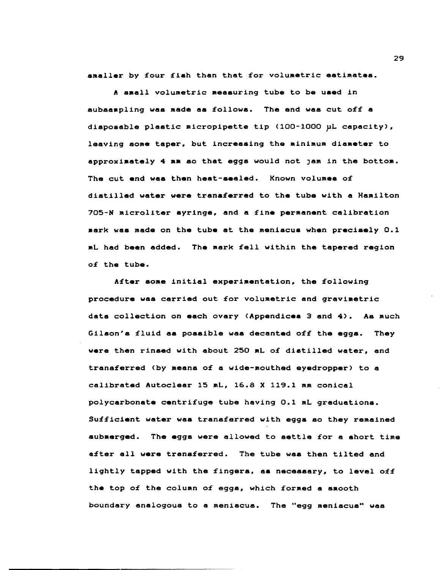amaller by four fish than that for volumetric estimates.

A small volumetric Measuring tube to be used in subsaapling was made as follows. The end was cut off a disposable plastic micropipette tip (100-1000 pL capacity), leaving some taper, but increasing the minimum diameter to approximately 4 mm so that eggs would not Jam in the bottom. The cut end was then heat-sealed. Known volumes of distilled water were transferred to the tube with a Hamilton 705-N microliter syringe, and a fine permanent calibration mark was made on the tube at the meniscue when precisely 0.1 mL had been added. The mark fell within the tapered region of the tube.

After soae initial experimentation, the following procedure was carried out for volumetric and gravimetric data collection on each ovary (Appendicea 3 and 4). As much Gilson's fluid as possible was decanted off the eggs. They were then rinaed with about 250 ML of diatilled water, and transferred (by means of a wide-mouthed eyedropper) to a calibrated Autoclear 15 mL, 16.8 X 119.1 mm conical polycarbonate centrifuge tube having 0.1 mL graduations. Sufficient water was transferred with eggs so they remained submerged. The eggs were allowed to settle for a short time after all were transferred. The tube was then tilted and lightly tapped with the fingers, aa neceaaary, to level off the top of the column of eggs, which formed a smooth boundary analogous to a meniscus. The "egg meniscus" was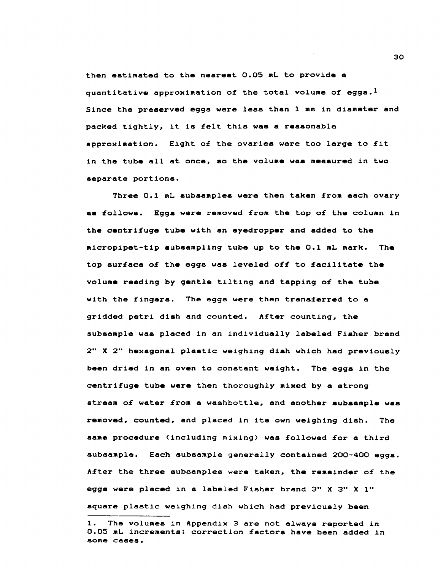then estimated to the neareat 0.05 mL to provide a quantitative approximation of the total volume of eggs.<sup>1</sup> Since the preserved eggs were less than 1 mm in diameter and packed tightly, it is felt this was a reasonable approximation. Eight o£ the ovaries were too large to £it in the tube all at once. so the volume was measured in two separate portions.

Three *0.1* mL subaamplea were then taken £rom each ovary as £ollows. Eggs were removed £rom the top o£ the column in the centri£uge tube with an eyedropper and added to the micropipet-tip subsampling tube up to the *0.1* mL mark. The top sur£ace o£ the eggs was leveled o££ to £acilitate the volume reading by gentle tilting and tapping o£ the tube with the fingers. The eggs were then transferred to a gridded petri dish and counted. After counting, the subsample was placed in an individually labeled Fisher brand 2" X 2" hexagonal plastic weighing diah which had previously been dried in an oven to constant weight. The eggs in the centri£uge tube were then thoroughly mixed by a strong stream o£ water £rom a washbottle, and another subaample was removed, counted, and placed in its own weighing dish. The same procedure (including mixing) was £ollowed £or a third subsample. Each subsample generally contained *200-400* eggs. A£ter the three subsamples were taken, the remainder o£ the eggs were placed in a labeled Fisher brand 3" X 3" X 1" square plastic weighing dish which had previoualy been

<sup>1.</sup> The volumea in Appendix 3 are not always reported in 0.05 mL incrementa: correction £actors have been added in some cases.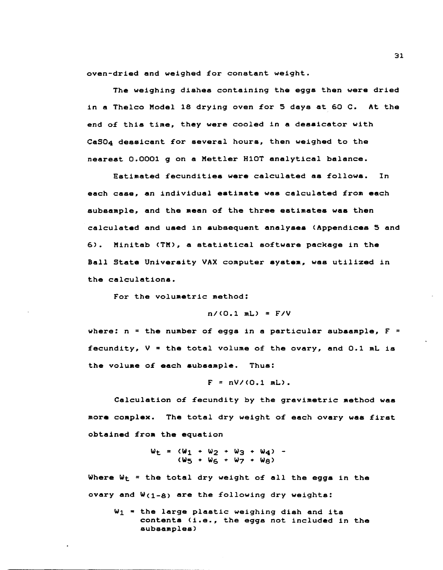oven-dried and weighed £or constant weight.

The weighing dishes containing the eggs then were dried in a Thelco Model 18 drying oven £or 5 days at 60 C. At the end of this time, they were cooled in a dessicator with CaS04 dessicant £or several hours, then weighed to the nearest 0.0001 g on a Mettler Hl0T analytical balance.

Estimated £ecundities were calculated a8 £ollows. In each case, an individual estimate was calculated £rom each subsample, and the mean o£ the three estimates was then calculated and used in subsequent analyses (Appendices 5 and 6). Minitab (TM), a statistical so£tware package in the Ball State University VAX computer system, was utilized in the calculations.

For the volumetric method:

*n/(O.l* mL) = F/V

where:  $n =$  the number of eggs in a particular subsample,  $F =$ fecundity,  $V =$  the total volume of the ovary, and 0.1 mL is the volume of each subsample. Thus:

$$
F = nV/(0.1 mL).
$$

Calculation of fecundity by the gravimetric method was more complex. The total dry weight o£ each ovary was £irst obtained £rom the equation

> $W_{L} = (W_{1} + W_{2} + W_{3} + W_{4})$  -(WS + W6 + W7 + Ws)

Where  $W_t$  = the total dry weight of all the eggs in the ovary and  $W(1-8)$  are the following dry weights:

 $W_1$  = the large plastic weighing dish and its contents (i.e., the eggs not included in the subsamples)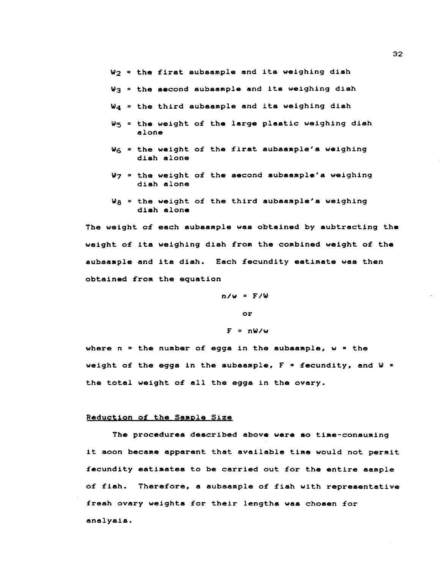$W_2$  = the first subsample and its weighing dish

- $W_3$  = the second subsample and its weighing dish
- W<sub>4</sub> = the third subsample and its weighing dish
- W<sub>5</sub> = the weight of the large plastic weighing dish alone
- $W_{\text{G}}$  = the weight of the first subsample's weighing dish alone
- W7 = the weight o£ the second subsample's weighing dish alone
- Wg = the weight of the third subsample's weighing dish alone

The weight of each subsample was obtained by subtracting the weight o£ its weighing dish £rom the combined weight o£ the aubsample and its dish. Each fecundity estimate was then obtained £rom the equation

> $n/w = F/W$ or  $F = nW/w$

where  $n =$  the number of eggs in the subsample,  $w =$  the weight of the eggs in the subsample,  $F = 2$  fecundity, and  $W = 2$ the total weight o£ all the eggs in the ovary.

### Reduction o£ the Sample Size

The procedures described above were so time-consuming it soon became apparent that available time would not permit £ecundity estiMates to be carried out £or the entire aample o£ £ish. There£ore. a subsample o£ £ish with representative fresh ovary weights for their lengths was chosen for analysis.